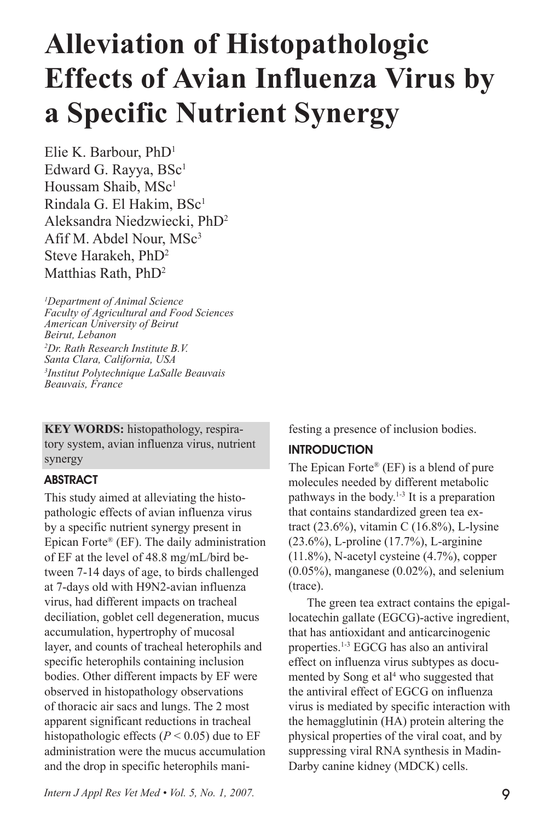# **Alleviation of Histopathologic Effects of Avian Influenza Virus by a Specific Nutrient Synergy**

Elie K. Barbour, PhD1 Edward G. Rayya, BSc<sup>1</sup> Houssam Shaib, MSc<sup>1</sup> Rindala G. El Hakim, BSc<sup>1</sup> Aleksandra Niedzwiecki, PhD2 Afif M. Abdel Nour, MSc<sup>3</sup> Steve Harakeh, PhD2 Matthias Rath, PhD<sup>2</sup>

*1 Department of Animal Science Faculty of Agricultural and Food Sciences American University of Beirut Beirut, Lebanon 2 Dr. Rath Research Institute B.V. Santa Clara, California, USA 3 Institut Polytechnique LaSalle Beauvais Beauvais, France*

**KEY WORDS:** histopathology, respiratory system, avian influenza virus, nutrient synergy

## **ABSTRACT**

This study aimed at alleviating the histopathologic effects of avian influenza virus by a specific nutrient synergy present in Epican Forte® (EF). The daily administration of EF at the level of 48.8 mg/mL/bird between 7-14 days of age, to birds challenged at 7-days old with H9N2-avian influenza virus, had different impacts on tracheal deciliation, goblet cell degeneration, mucus accumulation, hypertrophy of mucosal layer, and counts of tracheal heterophils and specific heterophils containing inclusion bodies. Other different impacts by EF were observed in histopathology observations of thoracic air sacs and lungs. The 2 most apparent significant reductions in tracheal histopathologic effects ( $P < 0.05$ ) due to EF administration were the mucus accumulation and the drop in specific heterophils manifesting a presence of inclusion bodies.

## INTRODUCTION

The Epican Forte® (EF) is a blend of pure molecules needed by different metabolic pathways in the body.1-3 It is a preparation that contains standardized green tea extract (23.6%), vitamin C (16.8%), L-lysine (23.6%), L-proline (17.7%), L-arginine (11.8%), N-acetyl cysteine (4.7%), copper  $(0.05\%)$ , manganese  $(0.02\%)$ , and selenium (trace).

The green tea extract contains the epigallocatechin gallate (EGCG)-active ingredient, that has antioxidant and anticarcinogenic properties.<sup>1-3</sup> EGCG has also an antiviral effect on influenza virus subtypes as documented by Song et al<sup>4</sup> who suggested that the antiviral effect of EGCG on influenza virus is mediated by specific interaction with the hemagglutinin (HA) protein altering the physical properties of the viral coat, and by suppressing viral RNA synthesis in Madin-Darby canine kidney (MDCK) cells.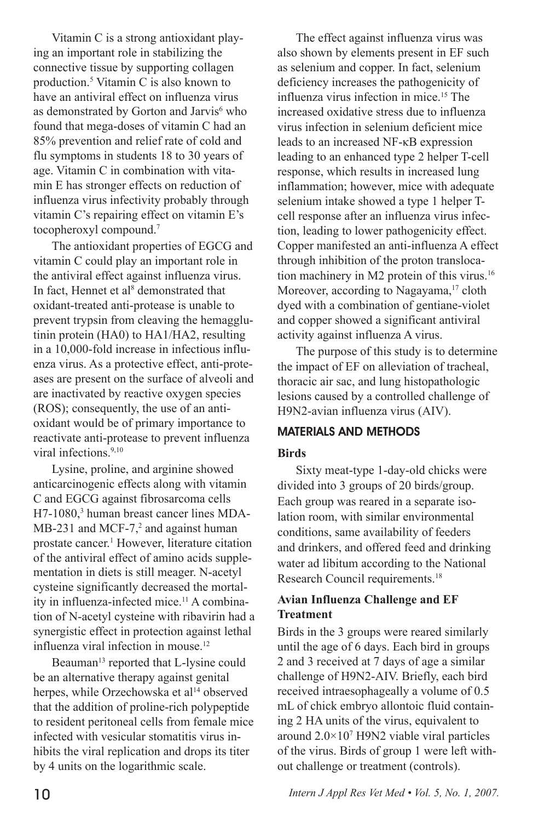Vitamin C is a strong antioxidant playing an important role in stabilizing the connective tissue by supporting collagen production.5 Vitamin C is also known to have an antiviral effect on influenza virus as demonstrated by Gorton and Jarvis<sup>6</sup> who found that mega-doses of vitamin C had an 85% prevention and relief rate of cold and flu symptoms in students 18 to 30 years of age. Vitamin C in combination with vitamin E has stronger effects on reduction of influenza virus infectivity probably through vitamin C's repairing effect on vitamin E's tocopheroxyl compound.7

The antioxidant properties of EGCG and vitamin C could play an important role in the antiviral effect against influenza virus. In fact, Hennet et al 8 demonstrated that oxidant-treated anti-protease is unable to prevent trypsin from cleaving the hemagglutinin protein (HA0) to HA1/HA2, resulting in a 10,000-fold increase in infectious influenza virus. As a protective effect, anti-proteases are present on the surface of alveoli and are inactivated by reactive oxygen species (ROS); consequently, the use of an antioxidant would be of primary importance to reactivate anti-protease to prevent influenza viral infections.<sup>9,10</sup>

Lysine, proline, and arginine showed anticarcinogenic effects along with vitamin C and EGCG against fibrosarcoma cells H7-1080,3 human breast cancer lines MDA-MB-231 and MCF-7 $,2$  and against human prostate cancer.<sup>1</sup> However, literature citation of the antiviral effect of amino acids supplementation in diets is still meager. N-acetyl cysteine significantly decreased the mortality in influenza-infected mice.<sup>11</sup> A combination of N-acetyl cysteine with ribavirin had a synergistic effect in protection against lethal influenza viral infection in mouse.<sup>12</sup>

Beauman<sup>13</sup> reported that L-lysine could be an alternative therapy against genital herpes, while Orzechowska et al<sup>14</sup> observed that the addition of proline-rich polypeptide to resident peritoneal cells from female mice infected with vesicular stomatitis virus inhibits the viral replication and drops its titer by 4 units on the logarithmic scale.

The effect against influenza virus was also shown by elements present in EF such as selenium and copper. In fact, selenium deficiency increases the pathogenicity of influenza virus infection in mice.15 The increased oxidative stress due to influenza virus infection in selenium deficient mice leads to an increased NF-κB expression leading to an enhanced type 2 helper T-cell response, which results in increased lung inflammation; however, mice with adequate selenium intake showed a type 1 helper Tcell response after an influenza virus infection, leading to lower pathogenicity effect. Copper manifested an anti-influenza A effect through inhibition of the proton translocation machinery in M2 protein of this virus.16 Moreover, according to Nagayama,<sup>17</sup> cloth dyed with a combination of gentiane-violet and copper showed a significant antiviral activity against influenza A virus.

The purpose of this study is to determine the impact of EF on alleviation of tracheal, thoracic air sac, and lung histopathologic lesions caused by a controlled challenge of H9N2-avian influenza virus (AIV).

#### MATERIALS AND METHODS

#### **Birds**

Sixty meat-type 1-day-old chicks were divided into 3 groups of 20 birds/group. Each group was reared in a separate isolation room, with similar environmental conditions, same availability of feeders and drinkers, and offered feed and drinking water ad libitum according to the National Research Council requirements.<sup>18</sup>

#### **Avian Influenza Challenge and EF Treatment**

Birds in the 3 groups were reared similarly until the age of 6 days. Each bird in groups 2 and 3 received at 7 days of age a similar challenge of H9N2-AIV. Briefly, each bird received intraesophageally a volume of 0.5 mL of chick embryo allontoic fluid containing 2 HA units of the virus, equivalent to around 2.0×107 H9N2 viable viral particles of the virus. Birds of group 1 were left without challenge or treatment (controls).

10 *Intern J Appl Res Vet Med • Vol. 5, No. 1, 2007.*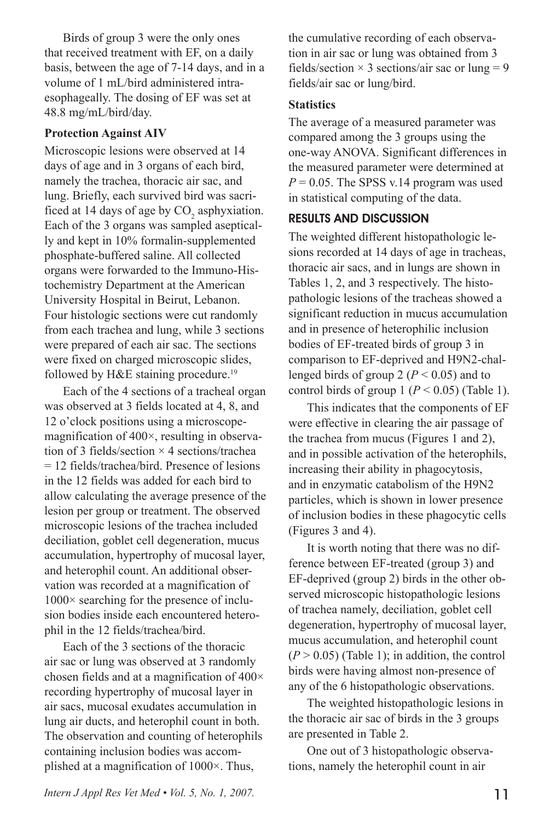Birds of group 3 were the only ones that received treatment with EF, on a daily basis, between the age of 7-14 days, and in a volume of 1 mL/bird administered intraesophageally. The dosing of EF was set at 48.8 mg/mL/bird/day.

#### **Protection Against AIV**

Microscopic lesions were observed at 14 days of age and in 3 organs of each bird, namely the trachea, thoracic air sac, and lung. Briefly, each survived bird was sacrificed at 14 days of age by  $CO_2$  asphyxiation. Each of the 3 organs was sampled aseptically and kept in 10% formalin-supplemented phosphate-buffered saline. All collected organs were forwarded to the Immuno-Histochemistry Department at the American University Hospital in Beirut, Lebanon. Four histologic sections were cut randomly from each trachea and lung, while 3 sections were prepared of each air sac. The sections were fixed on charged microscopic slides, followed by  $H\&E$  staining procedure.<sup>19</sup>

Each of the 4 sections of a tracheal organ was observed at 3 fields located at 4, 8, and 12 o'clock positions using a microscopemagnification of 400×, resulting in observation of 3 fields/section  $\times$  4 sections/trachea = 12 fields/trachea/bird. Presence of lesions in the 12 fields was added for each bird to allow calculating the average presence of the lesion per group or treatment. The observed microscopic lesions of the trachea included deciliation, goblet cell degeneration, mucus accumulation, hypertrophy of mucosal layer, and heterophil count. An additional observation was recorded at a magnification of 1000× searching for the presence of inclusion bodies inside each encountered heterophil in the 12 fields/trachea/bird.

Each of the 3 sections of the thoracic air sac or lung was observed at 3 randomly chosen fields and at a magnification of 400× recording hypertrophy of mucosal layer in air sacs, mucosal exudates accumulation in lung air ducts, and heterophil count in both. The observation and counting of heterophils containing inclusion bodies was accomplished at a magnification of 1000×. Thus,

the cumulative recording of each observation in air sac or lung was obtained from 3 fields/section  $\times$  3 sections/air sac or lung = 9 fields/air sac or lung/bird.

### **Statistics**

The average of a measured parameter was compared among the 3 groups using the one-way ANOVA. Significant differences in the measured parameter were determined at  $P = 0.05$ . The SPSS v.14 program was used in statistical computing of the data.

## RESULTS AND DISCUSSION

The weighted different histopathologic lesions recorded at 14 days of age in tracheas, thoracic air sacs, and in lungs are shown in Tables 1, 2, and 3 respectively. The histopathologic lesions of the tracheas showed a significant reduction in mucus accumulation and in presence of heterophilic inclusion bodies of EF-treated birds of group 3 in comparison to EF-deprived and H9N2-challenged birds of group 2 ( $P < 0.05$ ) and to control birds of group 1 ( $P < 0.05$ ) (Table 1).

This indicates that the components of EF were effective in clearing the air passage of the trachea from mucus (Figures 1 and 2), and in possible activation of the heterophils, increasing their ability in phagocytosis, and in enzymatic catabolism of the H9N2 particles, which is shown in lower presence of inclusion bodies in these phagocytic cells (Figures 3 and 4).

It is worth noting that there was no difference between EF-treated (group 3) and EF-deprived (group 2) birds in the other observed microscopic histopathologic lesions of trachea namely, deciliation, goblet cell degeneration, hypertrophy of mucosal layer, mucus accumulation, and heterophil count  $(P > 0.05)$  (Table 1); in addition, the control birds were having almost non-presence of any of the 6 histopathologic observations.

The weighted histopathologic lesions in the thoracic air sac of birds in the 3 groups are presented in Table 2.

One out of 3 histopathologic observations, namely the heterophil count in air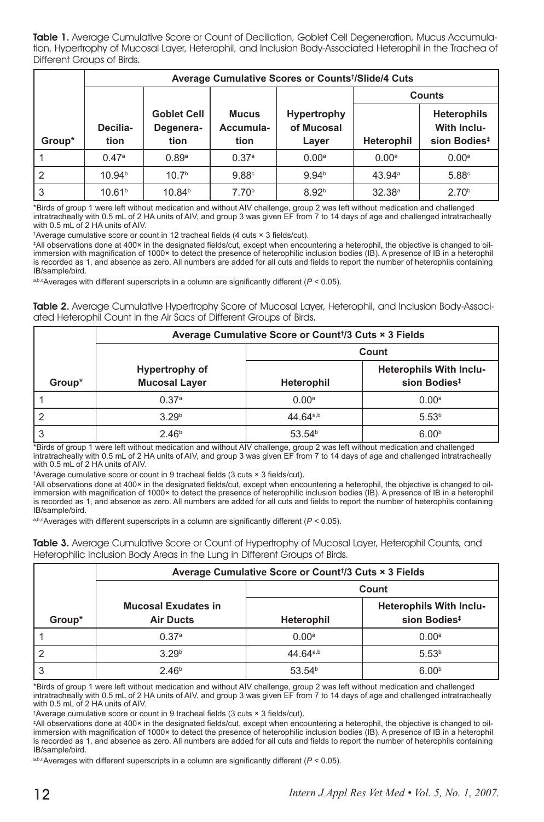Table 1. Average Cumulative Score or Count of Deciliation, Goblet Cell Degeneration, Mucus Accumulation, Hypertrophy of Mucosal Layer, Heterophil, and Inclusion Body-Associated Heterophil in the Trachea of Different Groups of Birds.

|        | Average Cumulative Scores or Counts <sup>†</sup> /Slide/4 Cuts |                                         |                                   |                                    |                    |                                                                      |  |
|--------|----------------------------------------------------------------|-----------------------------------------|-----------------------------------|------------------------------------|--------------------|----------------------------------------------------------------------|--|
|        |                                                                |                                         |                                   |                                    | <b>Counts</b>      |                                                                      |  |
| Group* | Decilia-<br>tion                                               | <b>Goblet Cell</b><br>Degenera-<br>tion | <b>Mucus</b><br>Accumula-<br>tion | Hypertrophy<br>of Mucosal<br>Layer | Heterophil         | <b>Heterophils</b><br><b>With Inclu-</b><br>sion Bodies <sup>#</sup> |  |
|        | 0.47a                                                          | 0.89a                                   | 0.37a                             | 0.00 <sup>a</sup>                  | 0.00 <sup>a</sup>  | 0.00 <sup>a</sup>                                                    |  |
| l 2    | 10.94 <sup>b</sup>                                             | 10.7 <sup>b</sup>                       | 9.88c                             | 9.94 <sup>b</sup>                  | 43.94 <sup>a</sup> | 5.88c                                                                |  |
| l 3    | 10.61 <sup>b</sup>                                             | 10.84 <sup>b</sup>                      | 7.70 <sup>b</sup>                 | 8.92 <sup>b</sup>                  | 32.38 <sup>a</sup> | 2.70 <sup>b</sup>                                                    |  |

\*Birds of group 1 were left without medication and without AIV challenge, group 2 was left without medication and challenged intratracheally with 0.5 mL of 2 HA units of AIV, and group 3 was given EF from 7 to 14 days of age and challenged intratracheally with 0.5 mL of 2 HA units of AIV.

† Average cumulative score or count in 12 tracheal fields (4 cuts × 3 fields/cut).

‡ All observations done at 400× in the designated fields/cut, except when encountering a heterophil, the objective is changed to oilimmersion with magnification of 1000× to detect the presence of heterophilic inclusion bodies (IB). A presence of IB in a heterophil is recorded as 1, and absence as zero. All numbers are added for all cuts and fields to report the number of heterophils containing IB/sample/bird.

a,b,cAverages with different superscripts in a column are significantly different (*P* < 0.05).

Table 2. Average Cumulative Hypertrophy Score of Mucosal Layer, Heterophil, and Inclusion Body-Associated Heterophil Count in the Air Sacs of Different Groups of Birds.

|        | Average Cumulative Score or Count <sup>1</sup> /3 Cuts × 3 Fields |                      |                                |  |  |  |
|--------|-------------------------------------------------------------------|----------------------|--------------------------------|--|--|--|
|        |                                                                   | Count                |                                |  |  |  |
|        | Hypertrophy of                                                    |                      | <b>Heterophils With Inclu-</b> |  |  |  |
| Group* | <b>Mucosal Layer</b>                                              | <b>Heterophil</b>    | sion Bodies <sup>#</sup>       |  |  |  |
|        | 0.37a                                                             | 0.00 <sup>a</sup>    | 0.00 <sup>a</sup>              |  |  |  |
|        | 3.29 <sup>b</sup>                                                 | 44 64 <sup>a,b</sup> | 5.53 <sup>b</sup>              |  |  |  |
|        | 2.46 <sup>b</sup>                                                 | 53.54 <sup>b</sup>   | 6.00 <sup>b</sup>              |  |  |  |

\*Birds of group 1 were left without medication and without AIV challenge, group 2 was left without medication and challenged intratracheally with 0.5 mL of 2 HA units of AIV, and group 3 was given EF from 7 to 14 days of age and challenged intratracheally with 0.5 mL of 2 HA units of AIV.

† Average cumulative score or count in 9 tracheal fields (3 cuts × 3 fields/cut).

‡ All observations done at 400× in the designated fields/cut, except when encountering a heterophil, the objective is changed to oilimmersion with magnification of 1000× to detect the presence of heterophilic inclusion bodies (IB). A presence of IB in a heterophil is recorded as 1, and absence as zero. All numbers are added for all cuts and fields to report the number of heterophils containing IB/sample/bird.

a,b,c<sub>Averages</sub> with different superscripts in a column are significantly different ( $P < 0.05$ ).

Table 3. Average Cumulative Score or Count of Hypertrophy of Mucosal Layer, Heterophil Counts, and Heterophilic Inclusion Body Areas in the Lung in Different Groups of Birds.

|        | Average Cumulative Score or Count <sup>1</sup> /3 Cuts × 3 Fields |                      |                                |  |  |  |
|--------|-------------------------------------------------------------------|----------------------|--------------------------------|--|--|--|
|        |                                                                   | Count                |                                |  |  |  |
|        | <b>Mucosal Exudates in</b>                                        |                      | <b>Heterophils With Inclu-</b> |  |  |  |
| Group* | <b>Air Ducts</b>                                                  | Heterophil           | sion Bodies <sup>#</sup>       |  |  |  |
|        | 0.37a                                                             | 0.00 <sup>a</sup>    | 0.00 <sup>a</sup>              |  |  |  |
|        | 3.29 <sup>b</sup>                                                 | 44 64 <sup>a,b</sup> | 5.53 <sup>b</sup>              |  |  |  |
| 3      | 2.46 <sup>b</sup>                                                 | 53.54 <sup>b</sup>   | 6.00 <sup>b</sup>              |  |  |  |

\*Birds of group 1 were left without medication and without AIV challenge, group 2 was left without medication and challenged intratracheally with 0.5 mL of 2 HA units of AIV, and group 3 was given EF from 7 to 14 days of age and challenged intratracheally with 0.5 mL of 2 HA units of AIV.

† Average cumulative score or count in 9 tracheal fields (3 cuts × 3 fields/cut).

‡ All observations done at 400× in the designated fields/cut, except when encountering a heterophil, the objective is changed to oilimmersion with magnification of 1000× to detect the presence of heterophilic inclusion bodies (IB). A presence of IB in a heterophil is recorded as 1, and absence as zero. All numbers are added for all cuts and fields to report the number of heterophils containing IB/sample/bird.

a,b,c<sub>A</sub>verages with different superscripts in a column are significantly different ( $P < 0.05$ ).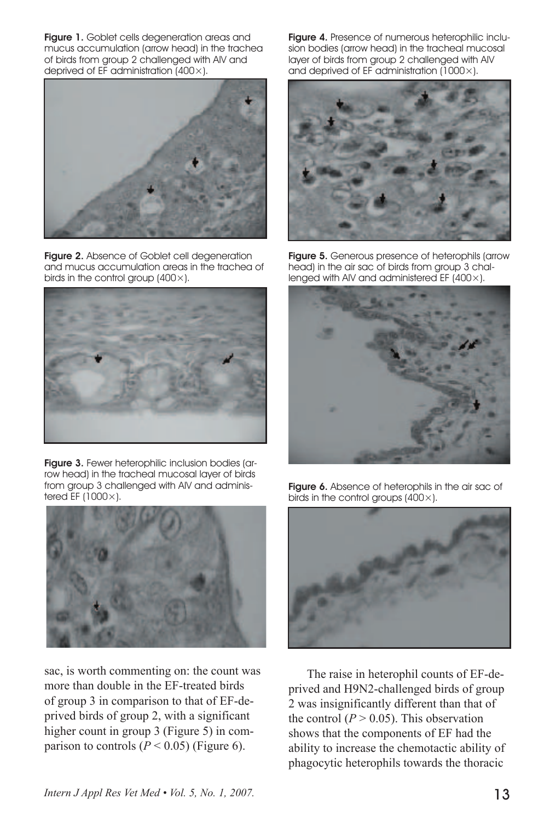Figure 1. Goblet cells degeneration areas and mucus accumulation (arrow head) in the trachea of birds from group 2 challenged with AIV and deprived of EF administration (400×).



Figure 2. Absence of Goblet cell degeneration and mucus accumulation areas in the trachea of birds in the control group  $(400\times)$ .



Figure 3. Fewer heterophilic inclusion bodies (arrow head) in the tracheal mucosal layer of birds from group 3 challenged with AIV and administered EF (1000×).



sac, is worth commenting on: the count was more than double in the EF-treated birds of group 3 in comparison to that of EF-deprived birds of group 2, with a significant higher count in group 3 (Figure 5) in comparison to controls  $(P < 0.05)$  (Figure 6).

Figure 4. Presence of numerous heterophilic inclusion bodies (arrow head) in the tracheal mucosal layer of birds from group 2 challenged with AIV and deprived of EF administration (1000×).



Figure 5. Generous presence of heterophils (arrow head) in the air sac of birds from group 3 challenged with AIV and administered EF (400×).



Figure 6. Absence of heterophils in the air sac of birds in the control groups  $(400\times)$ .



The raise in heterophil counts of EF-deprived and H9N2-challenged birds of group 2 was insignificantly different than that of the control  $(P > 0.05)$ . This observation shows that the components of EF had the ability to increase the chemotactic ability of phagocytic heterophils towards the thoracic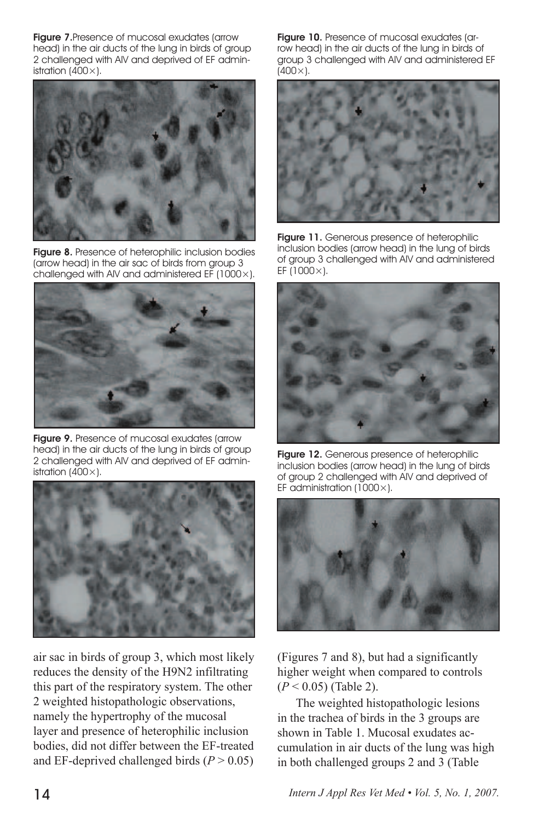**Figure 7.** Presence of mucosal exudates (arrow head) in the air ducts of the lung in birds of group 2 challenged with AIV and deprived of EF administration  $(400\times)$ .



Figure 8. Presence of heterophilic inclusion bodies (arrow head) in the air sac of birds from group 3 challenged with AIV and administered EF (1000×).



Figure 9. Presence of mucosal exudates (arrow head) in the air ducts of the lung in birds of group 2 challenged with AIV and deprived of EF administration  $(400\times)$ .



air sac in birds of group 3, which most likely reduces the density of the H9N2 infiltrating this part of the respiratory system. The other 2 weighted histopathologic observations, namely the hypertrophy of the mucosal layer and presence of heterophilic inclusion bodies, did not differ between the EF-treated and EF-deprived challenged birds  $(P > 0.05)$  Figure 10. Presence of mucosal exudates (arrow head) in the air ducts of the lung in birds of group 3 challenged with AIV and administered EF  $(400 \times)$ .



Figure 11. Generous presence of heterophilic inclusion bodies (arrow head) in the lung of birds of group 3 challenged with AIV and administered EF (1000×).



Figure 12. Generous presence of heterophilic inclusion bodies (arrow head) in the lung of birds of group 2 challenged with AIV and deprived of EF administration (1000 $\times$ ).



(Figures 7 and 8), but had a significantly higher weight when compared to controls (*P* < 0.05) (Table 2).

The weighted histopathologic lesions in the trachea of birds in the 3 groups are shown in Table 1. Mucosal exudates accumulation in air ducts of the lung was high in both challenged groups 2 and 3 (Table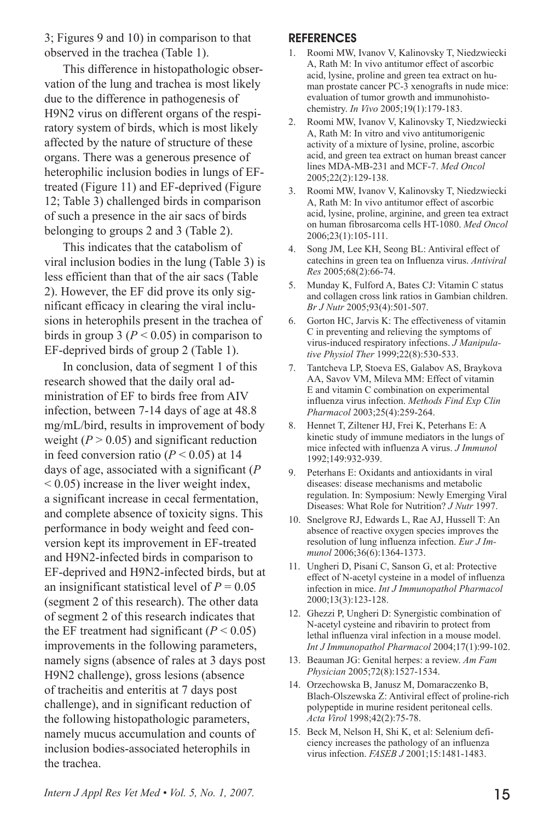3; Figures 9 and 10) in comparison to that observed in the trachea (Table 1).

This difference in histopathologic observation of the lung and trachea is most likely due to the difference in pathogenesis of H9N2 virus on different organs of the respiratory system of birds, which is most likely affected by the nature of structure of these organs. There was a generous presence of heterophilic inclusion bodies in lungs of EFtreated (Figure 11) and EF-deprived (Figure 12; Table 3) challenged birds in comparison of such a presence in the air sacs of birds belonging to groups 2 and 3 (Table 2).

This indicates that the catabolism of viral inclusion bodies in the lung (Table 3) is less efficient than that of the air sacs (Table 2). However, the EF did prove its only significant efficacy in clearing the viral inclusions in heterophils present in the trachea of birds in group 3 ( $P < 0.05$ ) in comparison to EF-deprived birds of group 2 (Table 1).

In conclusion, data of segment 1 of this research showed that the daily oral administration of EF to birds free from AIV infection, between 7-14 days of age at 48.8 mg/mL/bird, results in improvement of body weight  $(P > 0.05)$  and significant reduction in feed conversion ratio ( $P < 0.05$ ) at 14 days of age, associated with a significant (*P* < 0.05) increase in the liver weight index, a significant increase in cecal fermentation, and complete absence of toxicity signs. This performance in body weight and feed conversion kept its improvement in EF-treated and H9N2-infected birds in comparison to EF-deprived and H9N2-infected birds, but at an insignificant statistical level of  $P = 0.05$ (segment 2 of this research). The other data of segment 2 of this research indicates that the EF treatment had significant  $(P < 0.05)$ improvements in the following parameters, namely signs (absence of rales at 3 days post H9N2 challenge), gross lesions (absence of tracheitis and enteritis at 7 days post challenge), and in significant reduction of the following histopathologic parameters, namely mucus accumulation and counts of inclusion bodies-associated heterophils in the trachea.

#### **REFERENCES**

- 1. Roomi MW, Ivanov V, Kalinovsky T, Niedzwiecki A, Rath M: In vivo antitumor effect of ascorbic acid, lysine, proline and green tea extract on human prostate cancer PC-3 xenografts in nude mice: evaluation of tumor growth and immunohistochemistry. *In Vivo* 2005;19(1):179-183.
- 2. Roomi MW, Ivanov V, Kalinovsky T, Niedzwiecki A, Rath M: In vitro and vivo antitumorigenic activity of a mixture of lysine, proline, ascorbic acid, and green tea extract on human breast cancer lines MDA-MB-231 and MCF-7. *Med Oncol*  2005;22(2):129-138.
- 3. Roomi MW, Ivanov V, Kalinovsky T, Niedzwiecki A, Rath M: In vivo antitumor effect of ascorbic acid, lysine, proline, arginine, and green tea extract on human fibrosarcoma cells HT-1080. *Med Oncol* 2006;23(1):105-111.
- 4. Song JM, Lee KH, Seong BL: Antiviral effect of catechins in green tea on Influenza virus. *Antiviral Res* 2005;68(2):66-74.
- 5. Munday K, Fulford A, Bates CJ: Vitamin C status and collagen cross link ratios in Gambian children. *Br J Nutr* 2005;93(4):501-507.
- 6. Gorton HC, Jarvis K: The effectiveness of vitamin C in preventing and relieving the symptoms of virus-induced respiratory infections. *J Manipulative Physiol Ther* 1999;22(8):530-533.
- 7. Tantcheva LP, Stoeva ES, Galabov AS, Braykova AA, Savov VM, Mileva MM: Effect of vitamin E and vitamin C combination on experimental influenza virus infection. *Methods Find Exp Clin Pharmacol* 2003;25(4):259-264.
- 8. Hennet T, Ziltener HJ, Frei K, Peterhans E: A kinetic study of immune mediators in the lungs of mice infected with influenza A virus. *J Immunol* 1992;149:932-939.
- 9. Peterhans E: Oxidants and antioxidants in viral diseases: disease mechanisms and metabolic regulation. In: Symposium: Newly Emerging Viral Diseases: What Role for Nutrition? *J Nutr* 1997.
- 10. Snelgrove RJ, Edwards L, Rae AJ, Hussell T: An absence of reactive oxygen species improves the resolution of lung influenza infection. *Eur J Immunol* 2006;36(6):1364-1373.
- 11. Ungheri D, Pisani C, Sanson G, et al: Protective effect of N-acetyl cysteine in a model of influenza infection in mice. *Int J Immunopathol Pharmacol* 2000;13(3):123-128.
- 12. Ghezzi P, Ungheri D: Synergistic combination of N-acetyl cysteine and ribavirin to protect from lethal influenza viral infection in a mouse model. *Int J Immunopathol Pharmacol* 2004;17(1):99-102.
- 13. Beauman JG: Genital herpes: a review. *Am Fam Physician* 2005;72(8):1527-1534.
- 14. Orzechowska B, Janusz M, Domaraczenko B, Blach-Olszewska Z: Antiviral effect of proline-rich polypeptide in murine resident peritoneal cells. *Acta Virol* 1998;42(2):75-78.
- 15. Beck M, Nelson H, Shi K, et al: Selenium deficiency increases the pathology of an influenza virus infection. *FASEB J* 2001;15:1481-1483.